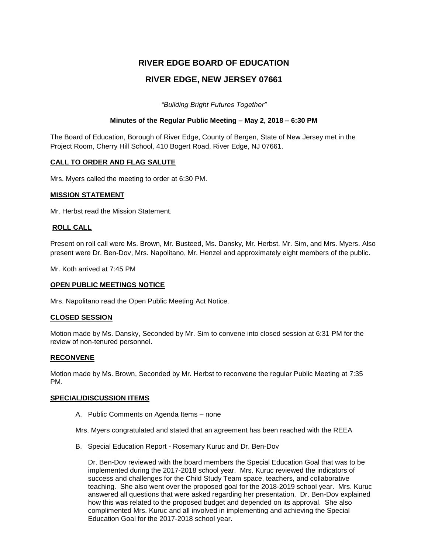# **RIVER EDGE BOARD OF EDUCATION RIVER EDGE, NEW JERSEY 07661**

*"Building Bright Futures Together"*

### **Minutes of the Regular Public Meeting – May 2, 2018 – 6:30 PM**

The Board of Education, Borough of River Edge, County of Bergen, State of New Jersey met in the Project Room, Cherry Hill School, 410 Bogert Road, River Edge, NJ 07661.

### **CALL TO ORDER AND FLAG SALUTE**

Mrs. Myers called the meeting to order at 6:30 PM.

### **MISSION STATEMENT**

Mr. Herbst read the Mission Statement.

### **ROLL CALL**

Present on roll call were Ms. Brown, Mr. Busteed, Ms. Dansky, Mr. Herbst, Mr. Sim, and Mrs. Myers. Also present were Dr. Ben-Dov, Mrs. Napolitano, Mr. Henzel and approximately eight members of the public.

Mr. Koth arrived at 7:45 PM

# **OPEN PUBLIC MEETINGS NOTICE**

Mrs. Napolitano read the Open Public Meeting Act Notice.

### **CLOSED SESSION**

Motion made by Ms. Dansky, Seconded by Mr. Sim to convene into closed session at 6:31 PM for the review of non-tenured personnel.

### **RECONVENE**

Motion made by Ms. Brown, Seconded by Mr. Herbst to reconvene the regular Public Meeting at 7:35 PM.

### **SPECIAL/DISCUSSION ITEMS**

A. Public Comments on Agenda Items – none

Mrs. Myers congratulated and stated that an agreement has been reached with the REEA

B. Special Education Report - Rosemary Kuruc and Dr. Ben-Dov

Dr. Ben-Dov reviewed with the board members the Special Education Goal that was to be implemented during the 2017-2018 school year. Mrs. Kuruc reviewed the indicators of success and challenges for the Child Study Team space, teachers, and collaborative teaching. She also went over the proposed goal for the 2018-2019 school year. Mrs. Kuruc answered all questions that were asked regarding her presentation. Dr. Ben-Dov explained how this was related to the proposed budget and depended on its approval. She also complimented Mrs. Kuruc and all involved in implementing and achieving the Special Education Goal for the 2017-2018 school year.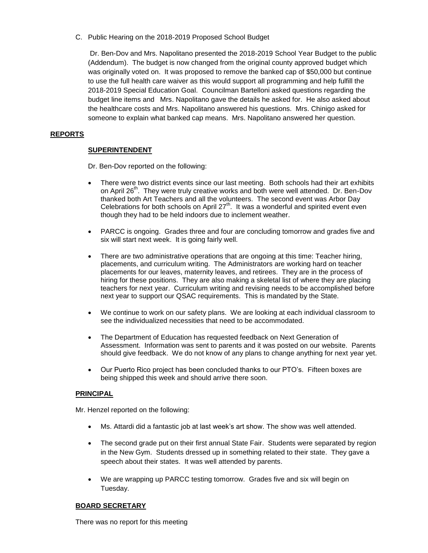C. Public Hearing on the 2018-2019 Proposed School Budget

Dr. Ben-Dov and Mrs. Napolitano presented the 2018-2019 School Year Budget to the public (Addendum). The budget is now changed from the original county approved budget which was originally voted on. It was proposed to remove the banked cap of \$50,000 but continue to use the full health care waiver as this would support all programming and help fulfill the 2018-2019 Special Education Goal. Councilman Bartelloni asked questions regarding the budget line items and Mrs. Napolitano gave the details he asked for. He also asked about the healthcare costs and Mrs. Napolitano answered his questions. Mrs. Chinigo asked for someone to explain what banked cap means. Mrs. Napolitano answered her question.

# **REPORTS**

# **SUPERINTENDENT**

Dr. Ben-Dov reported on the following:

- There were two district events since our last meeting. Both schools had their art exhibits on April 26<sup>th</sup>. They were truly creative works and both were well attended. Dr. Ben-Dov thanked both Art Teachers and all the volunteers. The second event was Arbor Day Celebrations for both schools on April 27<sup>th</sup>. It was a wonderful and spirited event even though they had to be held indoors due to inclement weather.
- PARCC is ongoing. Grades three and four are concluding tomorrow and grades five and six will start next week. It is going fairly well.
- There are two administrative operations that are ongoing at this time: Teacher hiring, placements, and curriculum writing. The Administrators are working hard on teacher placements for our leaves, maternity leaves, and retirees. They are in the process of hiring for these positions. They are also making a skeletal list of where they are placing teachers for next year. Curriculum writing and revising needs to be accomplished before next year to support our QSAC requirements. This is mandated by the State.
- We continue to work on our safety plans. We are looking at each individual classroom to see the individualized necessities that need to be accommodated.
- The Department of Education has requested feedback on Next Generation of Assessment. Information was sent to parents and it was posted on our website. Parents should give feedback. We do not know of any plans to change anything for next year yet.
- Our Puerto Rico project has been concluded thanks to our PTO's. Fifteen boxes are being shipped this week and should arrive there soon.

# **PRINCIPAL**

Mr. Henzel reported on the following:

- Ms. Attardi did a fantastic job at last week's art show. The show was well attended.
- The second grade put on their first annual State Fair. Students were separated by region in the New Gym. Students dressed up in something related to their state. They gave a speech about their states. It was well attended by parents.
- We are wrapping up PARCC testing tomorrow. Grades five and six will begin on Tuesday.

# **BOARD SECRETARY**

There was no report for this meeting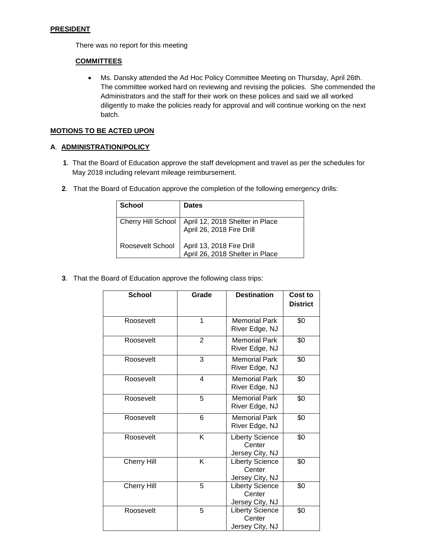### **PRESIDENT**

There was no report for this meeting

# **COMMITTEES**

 Ms. Dansky attended the Ad Hoc Policy Committee Meeting on Thursday, April 26th. The committee worked hard on reviewing and revising the policies. She commended the Administrators and the staff for their work on these polices and said we all worked diligently to make the policies ready for approval and will continue working on the next batch.

# **MOTIONS TO BE ACTED UPON**

### **A**. **ADMINISTRATION/POLICY**

- **1**. That the Board of Education approve the staff development and travel as per the schedules for May 2018 including relevant mileage reimbursement.
- **2**. That the Board of Education approve the completion of the following emergency drills:

| <b>School</b> | <b>Dates</b>                                                                        |
|---------------|-------------------------------------------------------------------------------------|
|               | Cherry Hill School   April 12, 2018 Shelter in Place<br>  April 26, 2018 Fire Drill |
|               | Roosevelt School   April 13, 2018 Fire Drill<br>  April 26, 2018 Shelter in Place   |

**3**. That the Board of Education approve the following class trips:

| <b>School</b>      | Grade          | <b>Destination</b>                                  | Cost to<br><b>District</b> |
|--------------------|----------------|-----------------------------------------------------|----------------------------|
| Roosevelt          | 1              | <b>Memorial Park</b><br>River Edge, NJ              | \$0                        |
| Roosevelt          | $\overline{2}$ | <b>Memorial Park</b><br>\$0<br>River Edge, NJ       |                            |
| Roosevelt          | 3              | <b>Memorial Park</b><br>River Edge, NJ              | \$0                        |
| Roosevelt          | 4              | <b>Memorial Park</b><br>River Edge, NJ              | \$0                        |
| Roosevelt          | 5              | <b>Memorial Park</b><br>\$0<br>River Edge, NJ       |                            |
| Roosevelt          | 6              | <b>Memorial Park</b><br>\$0<br>River Edge, NJ       |                            |
| Roosevelt          | Κ              | <b>Liberty Science</b><br>Center<br>Jersey City, NJ | \$0                        |
| <b>Cherry Hill</b> | Κ              | <b>Liberty Science</b><br>Center<br>Jersey City, NJ | \$0                        |
| <b>Cherry Hill</b> | 5              | <b>Liberty Science</b><br>Center<br>Jersey City, NJ | \$0                        |
| Roosevelt          | 5              | Liberty Science<br>Center<br>Jersey City, NJ        | \$0                        |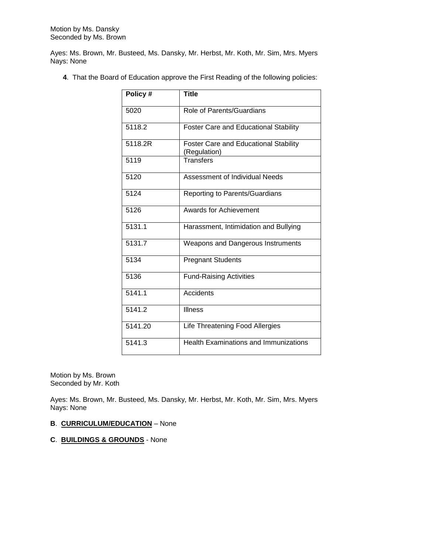Ayes: Ms. Brown, Mr. Busteed, Ms. Dansky, Mr. Herbst, Mr. Koth, Mr. Sim, Mrs. Myers Nays: None

**4**. That the Board of Education approve the First Reading of the following policies:

| Policy # | <b>Title</b>                                          |  |  |  |
|----------|-------------------------------------------------------|--|--|--|
| 5020     | Role of Parents/Guardians                             |  |  |  |
| 5118.2   | <b>Foster Care and Educational Stability</b>          |  |  |  |
| 5118.2R  | Foster Care and Educational Stability<br>(Regulation) |  |  |  |
| 5119     | <b>Transfers</b>                                      |  |  |  |
| 5120     | Assessment of Individual Needs                        |  |  |  |
| 5124     | Reporting to Parents/Guardians                        |  |  |  |
| 5126     | Awards for Achievement                                |  |  |  |
| 5131.1   | Harassment, Intimidation and Bullying                 |  |  |  |
| 5131.7   | Weapons and Dangerous Instruments                     |  |  |  |
| 5134     | <b>Pregnant Students</b>                              |  |  |  |
| 5136     | <b>Fund-Raising Activities</b>                        |  |  |  |
| 5141.1   | Accidents                                             |  |  |  |
| 5141.2   | <b>Illness</b>                                        |  |  |  |
| 5141.20  | Life Threatening Food Allergies                       |  |  |  |
| 5141.3   | <b>Health Examinations and Immunizations</b>          |  |  |  |

Motion by Ms. Brown Seconded by Mr. Koth

Ayes: Ms. Brown, Mr. Busteed, Ms. Dansky, Mr. Herbst, Mr. Koth, Mr. Sim, Mrs. Myers Nays: None

# **B**. **CURRICULUM/EDUCATION** – None

### **C**. **BUILDINGS & GROUNDS** - None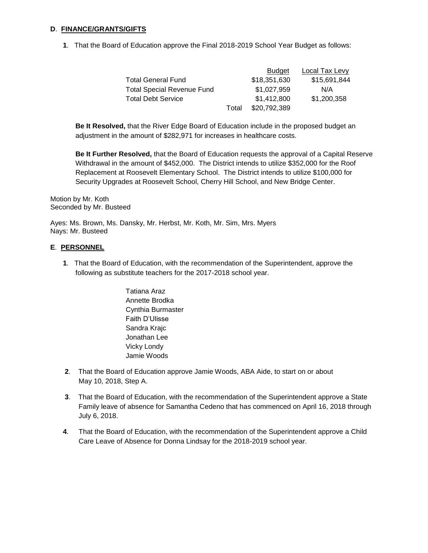### **D**. **FINANCE/GRANTS/GIFTS**

**1**. That the Board of Education approve the Final 2018-2019 School Year Budget as follows:

|                            |       | <b>Budget</b> | Local Tax Levy |
|----------------------------|-------|---------------|----------------|
| Total General Fund         |       | \$18,351,630  | \$15,691,844   |
| Total Special Revenue Fund |       | \$1,027,959   | N/A            |
| Total Debt Service         |       | \$1,412,800   | \$1,200,358    |
|                            | Total | \$20,792,389  |                |

**Be It Resolved,** that the River Edge Board of Education include in the proposed budget an adjustment in the amount of \$282,971 for increases in healthcare costs.

**Be It Further Resolved,** that the Board of Education requests the approval of a Capital Reserve Withdrawal in the amount of \$452,000. The District intends to utilize \$352,000 for the Roof Replacement at Roosevelt Elementary School. The District intends to utilize \$100,000 for Security Upgrades at Roosevelt School, Cherry Hill School, and New Bridge Center.

Motion by Mr. Koth Seconded by Mr. Busteed

Ayes: Ms. Brown, Ms. Dansky, Mr. Herbst, Mr. Koth, Mr. Sim, Mrs. Myers Nays: Mr. Busteed

### **E**. **PERSONNEL**

- **1**. That the Board of Education, with the recommendation of the Superintendent, approve the following as substitute teachers for the 2017-2018 school year.
	- Tatiana Araz Annette Brodka Cynthia Burmaster Faith D'Ulisse Sandra Krajc Jonathan Lee Vicky Londy Jamie Woods
- **2**. That the Board of Education approve Jamie Woods, ABA Aide, to start on or about May 10, 2018, Step A.
- **3**. That the Board of Education, with the recommendation of the Superintendent approve a State Family leave of absence for Samantha Cedeno that has commenced on April 16, 2018 through July 6, 2018.
- **4**. That the Board of Education, with the recommendation of the Superintendent approve a Child Care Leave of Absence for Donna Lindsay for the 2018-2019 school year.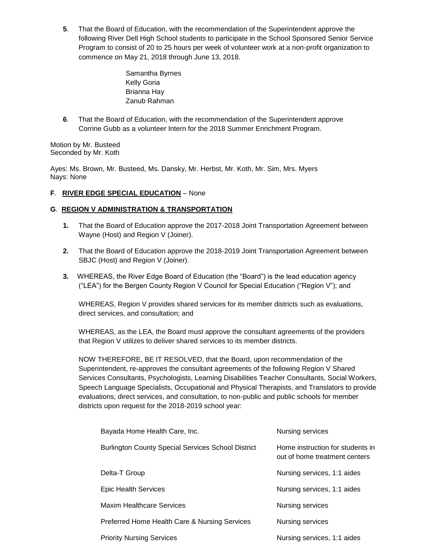**5**. That the Board of Education, with the recommendation of the Superintendent approve the following River Dell High School students to participate in the School Sponsored Senior Service Program to consist of 20 to 25 hours per week of volunteer work at a non-profit organization to commence on May 21, 2018 through June 13, 2018.

> Samantha Byrnes Kelly Goria Brianna Hay Zanub Rahman

**6**. That the Board of Education, with the recommendation of the Superintendent approve Corrine Gubb as a volunteer Intern for the 2018 Summer Enrichment Program.

Motion by Mr. Busteed Seconded by Mr. Koth

Ayes: Ms. Brown, Mr. Busteed, Ms. Dansky, Mr. Herbst, Mr. Koth, Mr. Sim, Mrs. Myers Nays: None

# **F**. **RIVER EDGE SPECIAL EDUCATION** – None

### **G**. **REGION V ADMINISTRATION & TRANSPORTATION**

- **1.** That the Board of Education approve the 2017-2018 Joint Transportation Agreement between Wayne (Host) and Region V (Joiner).
- **2.** That the Board of Education approve the 2018-2019 Joint Transportation Agreement between SBJC (Host) and Region V (Joiner).
- **3.** WHEREAS, the River Edge Board of Education (the "Board") is the lead education agency ("LEA") for the Bergen County Region V Council for Special Education ("Region V"); and

WHEREAS, Region V provides shared services for its member districts such as evaluations, direct services, and consultation; and

WHEREAS, as the LEA, the Board must approve the consultant agreements of the providers that Region V utilizes to deliver shared services to its member districts.

NOW THEREFORE, BE IT RESOLVED, that the Board, upon recommendation of the Superintendent, re-approves the consultant agreements of the following Region V Shared Services Consultants, Psychologists, Learning Disabilities Teacher Consultants, Social Workers, Speech Language Specialists, Occupational and Physical Therapists, and Translators to provide evaluations, direct services, and consultation, to non-public and public schools for member districts upon request for the 2018-2019 school year:

| Home instruction for students in<br>out of home treatment centers |  |
|-------------------------------------------------------------------|--|
| Nursing services, 1:1 aides                                       |  |
| Nursing services, 1:1 aides                                       |  |
| Nursing services                                                  |  |
| <b>Nursing services</b>                                           |  |
| Nursing services, 1:1 aides                                       |  |
|                                                                   |  |